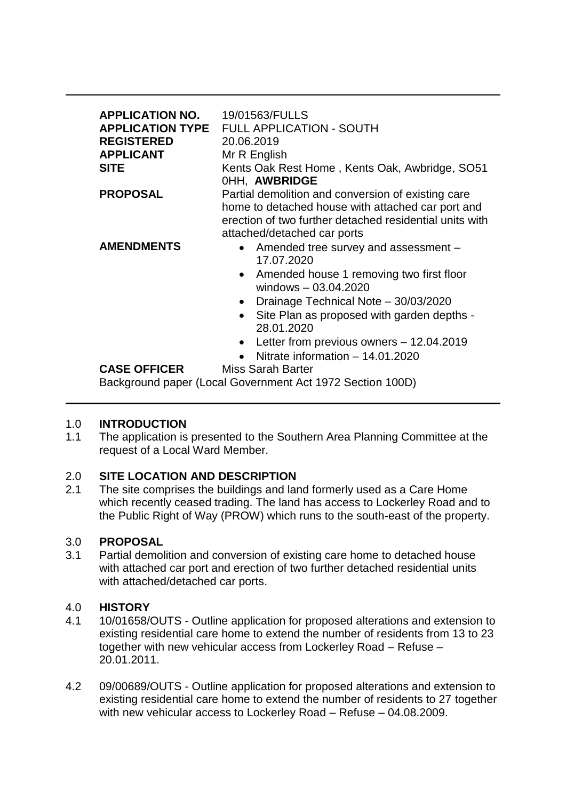| <b>APPLICATION NO.</b><br><b>APPLICATION TYPE</b><br><b>REGISTERED</b><br><b>APPLICANT</b><br><b>SITE</b> | 19/01563/FULLS<br><b>FULL APPLICATION - SOUTH</b><br>20.06.2019<br>Mr R English<br>Kents Oak Rest Home, Kents Oak, Awbridge, SO51<br>OHH, AWBRIDGE                                                                                                                                                                                                                           |
|-----------------------------------------------------------------------------------------------------------|------------------------------------------------------------------------------------------------------------------------------------------------------------------------------------------------------------------------------------------------------------------------------------------------------------------------------------------------------------------------------|
| <b>PROPOSAL</b>                                                                                           | Partial demolition and conversion of existing care<br>home to detached house with attached car port and<br>erection of two further detached residential units with<br>attached/detached car ports                                                                                                                                                                            |
| <b>AMENDMENTS</b>                                                                                         | Amended tree survey and assessment -<br>$\bullet$<br>17.07.2020<br>Amended house 1 removing two first floor<br>$\bullet$<br>windows $-03.04.2020$<br>Drainage Technical Note - 30/03/2020<br>$\bullet$<br>Site Plan as proposed with garden depths -<br>$\bullet$<br>28.01.2020<br>Letter from previous owners - 12.04.2019<br>$\bullet$<br>Nitrate information - 14.01.2020 |
| <b>CASE OFFICER</b>                                                                                       | Miss Sarah Barter<br>Background paper (Local Government Act 1972 Section 100D)                                                                                                                                                                                                                                                                                               |

# 1.0 **INTRODUCTION**

1.1 The application is presented to the Southern Area Planning Committee at the request of a Local Ward Member.

# 2.0 **SITE LOCATION AND DESCRIPTION**

2.1 The site comprises the buildings and land formerly used as a Care Home which recently ceased trading. The land has access to Lockerley Road and to the Public Right of Way (PROW) which runs to the south-east of the property.

# 3.0 **PROPOSAL**

3.1 Partial demolition and conversion of existing care home to detached house with attached car port and erection of two further detached residential units with attached/detached car ports.

# 4.0 **HISTORY**

- 4.1 10/01658/OUTS Outline application for proposed alterations and extension to existing residential care home to extend the number of residents from 13 to 23 together with new vehicular access from Lockerley Road – Refuse – 20.01.2011.
- 4.2 09/00689/OUTS Outline application for proposed alterations and extension to existing residential care home to extend the number of residents to 27 together with new vehicular access to Lockerley Road – Refuse – 04.08.2009.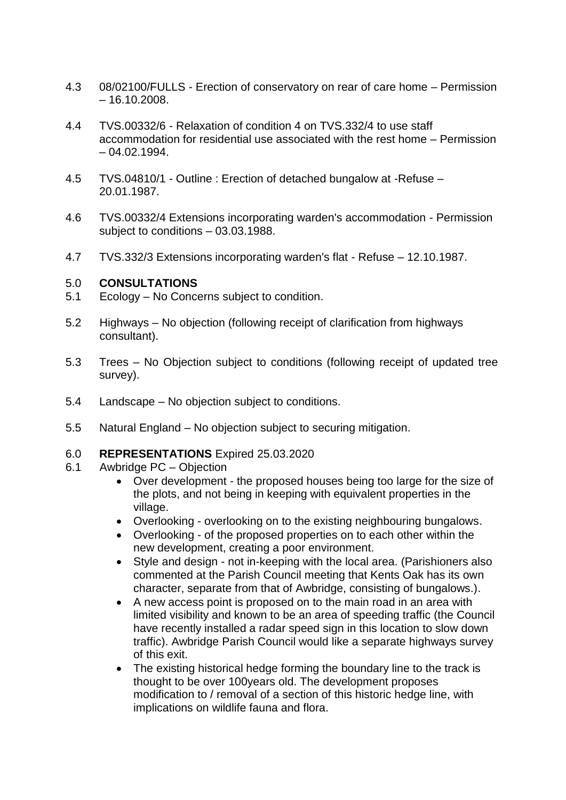- 4.3 08/02100/FULLS Erection of conservatory on rear of care home Permission  $-16.10,2008$ .
- 4.4 TVS.00332/6 Relaxation of condition 4 on TVS.332/4 to use staff accommodation for residential use associated with the rest home – Permission  $-04.02.1994.$
- 4.5 TVS.04810/1 Outline : Erection of detached bungalow at -Refuse 20.01.1987.
- 4.6 TVS.00332/4 Extensions incorporating warden's accommodation Permission subject to conditions – 03.03.1988.
- 4.7 TVS.332/3 Extensions incorporating warden's flat Refuse 12.10.1987.

#### 5.0 **CONSULTATIONS**

- 5.1 Ecology No Concerns subject to condition.
- 5.2 Highways No objection (following receipt of clarification from highways consultant).
- 5.3 Trees No Objection subject to conditions (following receipt of updated tree survey).
- 5.4 Landscape No objection subject to conditions.
- 5.5 Natural England No objection subject to securing mitigation.
- 6.0 **REPRESENTATIONS** Expired 25.03.2020
- 6.1 Awbridge PC Objection
	- Over development the proposed houses being too large for the size of the plots, and not being in keeping with equivalent properties in the village.
	- Overlooking overlooking on to the existing neighbouring bungalows.
	- Overlooking of the proposed properties on to each other within the new development, creating a poor environment.
	- Style and design not in-keeping with the local area. (Parishioners also commented at the Parish Council meeting that Kents Oak has its own character, separate from that of Awbridge, consisting of bungalows.).
	- A new access point is proposed on to the main road in an area with limited visibility and known to be an area of speeding traffic (the Council have recently installed a radar speed sign in this location to slow down traffic). Awbridge Parish Council would like a separate highways survey of this exit.
	- The existing historical hedge forming the boundary line to the track is thought to be over 100years old. The development proposes modification to / removal of a section of this historic hedge line, with implications on wildlife fauna and flora.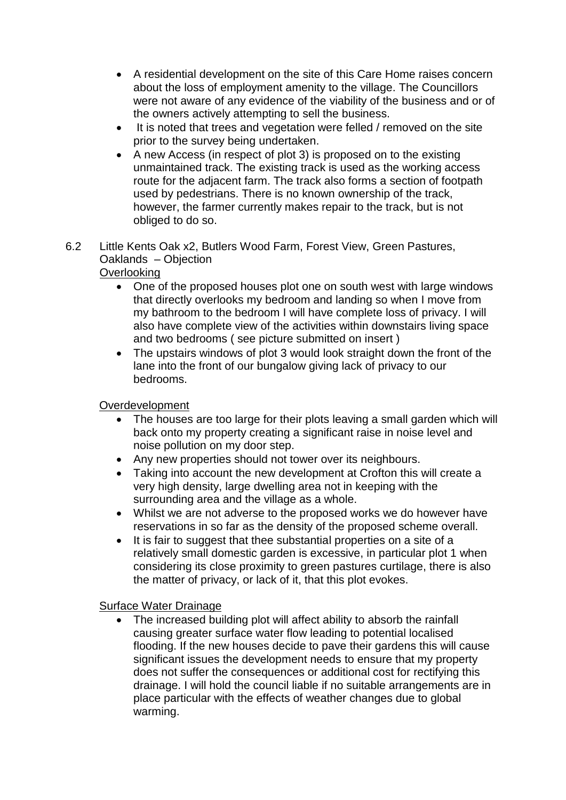- A residential development on the site of this Care Home raises concern about the loss of employment amenity to the village. The Councillors were not aware of any evidence of the viability of the business and or of the owners actively attempting to sell the business.
- It is noted that trees and vegetation were felled / removed on the site prior to the survey being undertaken.
- A new Access (in respect of plot 3) is proposed on to the existing unmaintained track. The existing track is used as the working access route for the adjacent farm. The track also forms a section of footpath used by pedestrians. There is no known ownership of the track, however, the farmer currently makes repair to the track, but is not obliged to do so.
- 6.2 Little Kents Oak x2, Butlers Wood Farm, Forest View, Green Pastures, Oaklands – Objection

# **Overlooking**

- One of the proposed houses plot one on south west with large windows that directly overlooks my bedroom and landing so when I move from my bathroom to the bedroom I will have complete loss of privacy. I will also have complete view of the activities within downstairs living space and two bedrooms ( see picture submitted on insert )
- The upstairs windows of plot 3 would look straight down the front of the lane into the front of our bungalow giving lack of privacy to our bedrooms.

# Overdevelopment

- The houses are too large for their plots leaving a small garden which will back onto my property creating a significant raise in noise level and noise pollution on my door step.
- Any new properties should not tower over its neighbours.
- Taking into account the new development at Crofton this will create a very high density, large dwelling area not in keeping with the surrounding area and the village as a whole.
- Whilst we are not adverse to the proposed works we do however have reservations in so far as the density of the proposed scheme overall.
- It is fair to suggest that thee substantial properties on a site of a relatively small domestic garden is excessive, in particular plot 1 when considering its close proximity to green pastures curtilage, there is also the matter of privacy, or lack of it, that this plot evokes.

## Surface Water Drainage

• The increased building plot will affect ability to absorb the rainfall causing greater surface water flow leading to potential localised flooding. If the new houses decide to pave their gardens this will cause significant issues the development needs to ensure that my property does not suffer the consequences or additional cost for rectifying this drainage. I will hold the council liable if no suitable arrangements are in place particular with the effects of weather changes due to global warming.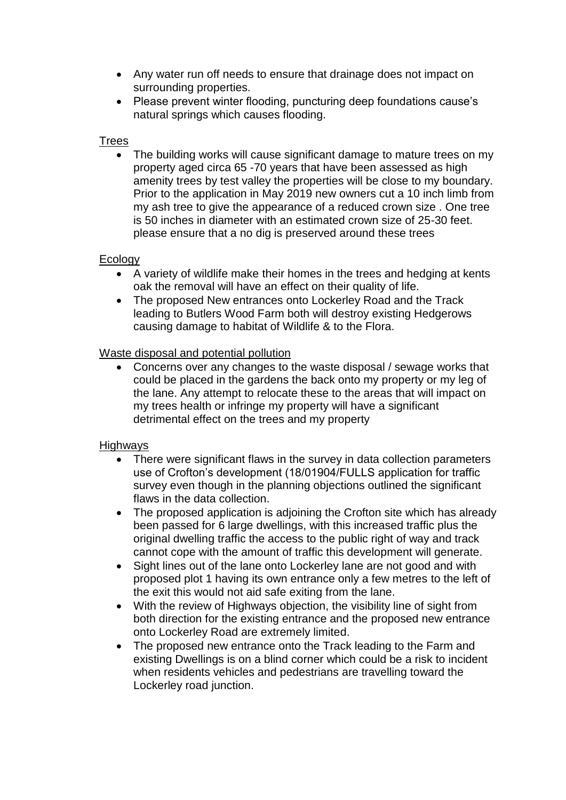- Any water run off needs to ensure that drainage does not impact on surrounding properties.
- Please prevent winter flooding, puncturing deep foundations cause's natural springs which causes flooding.

# Trees

• The building works will cause significant damage to mature trees on my property aged circa 65 -70 years that have been assessed as high amenity trees by test valley the properties will be close to my boundary. Prior to the application in May 2019 new owners cut a 10 inch limb from my ash tree to give the appearance of a reduced crown size . One tree is 50 inches in diameter with an estimated crown size of 25-30 feet. please ensure that a no dig is preserved around these trees

# Ecology

- A variety of wildlife make their homes in the trees and hedging at kents oak the removal will have an effect on their quality of life.
- The proposed New entrances onto Lockerley Road and the Track leading to Butlers Wood Farm both will destroy existing Hedgerows causing damage to habitat of Wildlife & to the Flora.

# Waste disposal and potential pollution

 Concerns over any changes to the waste disposal / sewage works that could be placed in the gardens the back onto my property or my leg of the lane. Any attempt to relocate these to the areas that will impact on my trees health or infringe my property will have a significant detrimental effect on the trees and my property

# Highways

- There were significant flaws in the survey in data collection parameters use of Crofton's development (18/01904/FULLS application for traffic survey even though in the planning objections outlined the significant flaws in the data collection.
- The proposed application is adjoining the Crofton site which has already been passed for 6 large dwellings, with this increased traffic plus the original dwelling traffic the access to the public right of way and track cannot cope with the amount of traffic this development will generate.
- Sight lines out of the lane onto Lockerley lane are not good and with proposed plot 1 having its own entrance only a few metres to the left of the exit this would not aid safe exiting from the lane.
- With the review of Highways objection, the visibility line of sight from both direction for the existing entrance and the proposed new entrance onto Lockerley Road are extremely limited.
- The proposed new entrance onto the Track leading to the Farm and existing Dwellings is on a blind corner which could be a risk to incident when residents vehicles and pedestrians are travelling toward the Lockerley road junction.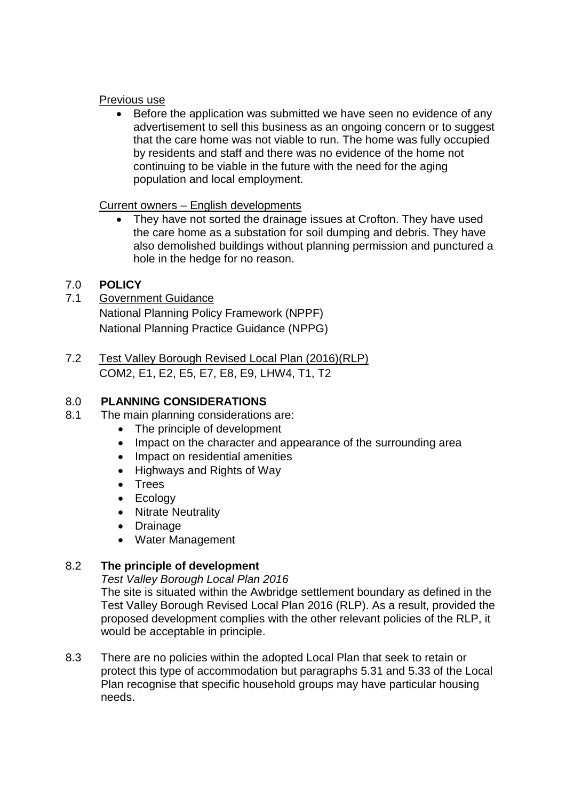## Previous use

• Before the application was submitted we have seen no evidence of any advertisement to sell this business as an ongoing concern or to suggest that the care home was not viable to run. The home was fully occupied by residents and staff and there was no evidence of the home not continuing to be viable in the future with the need for the aging population and local employment.

## Current owners – English developments

• They have not sorted the drainage issues at Crofton. They have used the care home as a substation for soil dumping and debris. They have also demolished buildings without planning permission and punctured a hole in the hedge for no reason.

# 7.0 **POLICY**

- 7.1 Government Guidance National Planning Policy Framework (NPPF) National Planning Practice Guidance (NPPG)
- 7.2 Test Valley Borough Revised Local Plan (2016)(RLP) COM2, E1, E2, E5, E7, E8, E9, LHW4, T1, T2

# 8.0 **PLANNING CONSIDERATIONS**

- 8.1 The main planning considerations are:
	- The principle of development
	- Impact on the character and appearance of the surrounding area
	- Impact on residential amenities
	- Highways and Rights of Way
	- Trees
	- Ecology
	- Nitrate Neutrality
	- Drainage
	- Water Management

# 8.2 **The principle of development**

*Test Valley Borough Local Plan 2016*

The site is situated within the Awbridge settlement boundary as defined in the Test Valley Borough Revised Local Plan 2016 (RLP). As a result, provided the proposed development complies with the other relevant policies of the RLP, it would be acceptable in principle.

8.3 There are no policies within the adopted Local Plan that seek to retain or protect this type of accommodation but paragraphs 5.31 and 5.33 of the Local Plan recognise that specific household groups may have particular housing needs.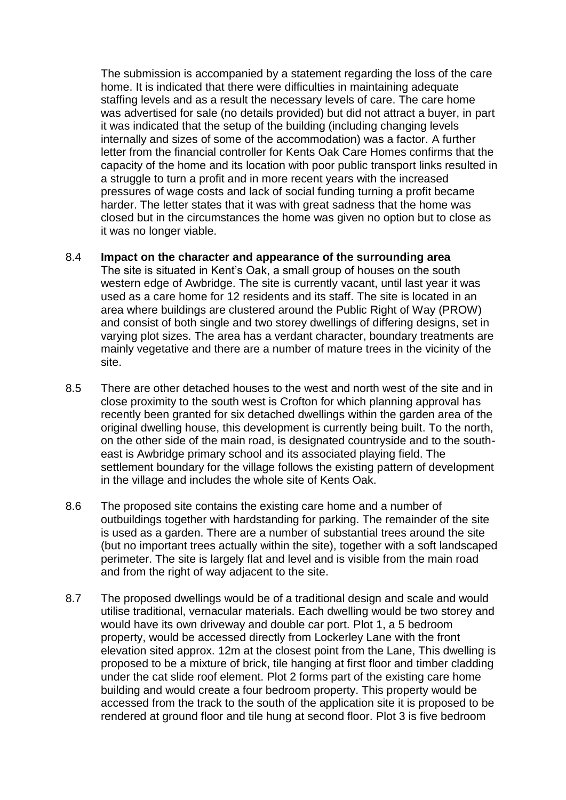The submission is accompanied by a statement regarding the loss of the care home. It is indicated that there were difficulties in maintaining adequate staffing levels and as a result the necessary levels of care. The care home was advertised for sale (no details provided) but did not attract a buyer, in part it was indicated that the setup of the building (including changing levels internally and sizes of some of the accommodation) was a factor. A further letter from the financial controller for Kents Oak Care Homes confirms that the capacity of the home and its location with poor public transport links resulted in a struggle to turn a profit and in more recent years with the increased pressures of wage costs and lack of social funding turning a profit became harder. The letter states that it was with great sadness that the home was closed but in the circumstances the home was given no option but to close as it was no longer viable.

#### 8.4 **Impact on the character and appearance of the surrounding area**

The site is situated in Kent's Oak, a small group of houses on the south western edge of Awbridge. The site is currently vacant, until last year it was used as a care home for 12 residents and its staff. The site is located in an area where buildings are clustered around the Public Right of Way (PROW) and consist of both single and two storey dwellings of differing designs, set in varying plot sizes. The area has a verdant character, boundary treatments are mainly vegetative and there are a number of mature trees in the vicinity of the site.

- 8.5 There are other detached houses to the west and north west of the site and in close proximity to the south west is Crofton for which planning approval has recently been granted for six detached dwellings within the garden area of the original dwelling house, this development is currently being built. To the north, on the other side of the main road, is designated countryside and to the southeast is Awbridge primary school and its associated playing field. The settlement boundary for the village follows the existing pattern of development in the village and includes the whole site of Kents Oak.
- 8.6 The proposed site contains the existing care home and a number of outbuildings together with hardstanding for parking. The remainder of the site is used as a garden. There are a number of substantial trees around the site (but no important trees actually within the site), together with a soft landscaped perimeter. The site is largely flat and level and is visible from the main road and from the right of way adjacent to the site.
- 8.7 The proposed dwellings would be of a traditional design and scale and would utilise traditional, vernacular materials. Each dwelling would be two storey and would have its own driveway and double car port. Plot 1, a 5 bedroom property, would be accessed directly from Lockerley Lane with the front elevation sited approx. 12m at the closest point from the Lane, This dwelling is proposed to be a mixture of brick, tile hanging at first floor and timber cladding under the cat slide roof element. Plot 2 forms part of the existing care home building and would create a four bedroom property. This property would be accessed from the track to the south of the application site it is proposed to be rendered at ground floor and tile hung at second floor. Plot 3 is five bedroom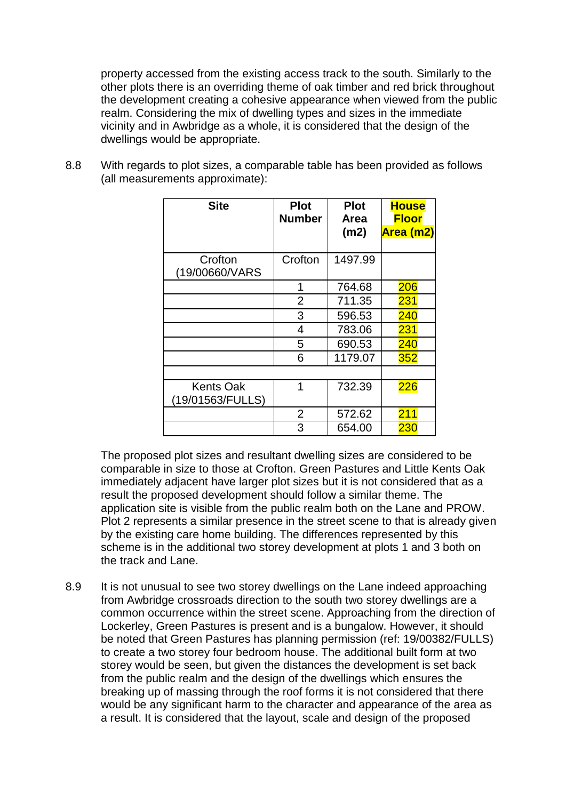property accessed from the existing access track to the south. Similarly to the other plots there is an overriding theme of oak timber and red brick throughout the development creating a cohesive appearance when viewed from the public realm. Considering the mix of dwelling types and sizes in the immediate vicinity and in Awbridge as a whole, it is considered that the design of the dwellings would be appropriate.

8.8 With regards to plot sizes, a comparable table has been provided as follows (all measurements approximate):

| <b>Site</b>                          | <b>Plot</b><br><b>Number</b> | <b>Plot</b><br>Area | <b>House</b><br><b>Floor</b> |
|--------------------------------------|------------------------------|---------------------|------------------------------|
|                                      |                              | (m2)                | Area (m2)                    |
| Crofton<br>(19/00660/VARS)           | Crofton                      | 1497.99             |                              |
|                                      | 1                            | 764.68              | 206                          |
|                                      | $\overline{2}$               | 711.35              | 231                          |
|                                      | 3                            | 596.53              | 240                          |
|                                      | 4                            | 783.06              | 231                          |
|                                      | 5                            | 690.53              | 240                          |
|                                      | 6                            | 1179.07             | 352                          |
|                                      |                              |                     |                              |
| <b>Kents Oak</b><br>(19/01563/FULLS) | 1                            | 732.39              | 226                          |
|                                      | $\overline{2}$               | 572.62              | 211                          |
|                                      | 3                            | 654.00              | 230                          |

The proposed plot sizes and resultant dwelling sizes are considered to be comparable in size to those at Crofton. Green Pastures and Little Kents Oak immediately adjacent have larger plot sizes but it is not considered that as a result the proposed development should follow a similar theme. The application site is visible from the public realm both on the Lane and PROW. Plot 2 represents a similar presence in the street scene to that is already given by the existing care home building. The differences represented by this scheme is in the additional two storey development at plots 1 and 3 both on the track and Lane.

8.9 It is not unusual to see two storey dwellings on the Lane indeed approaching from Awbridge crossroads direction to the south two storey dwellings are a common occurrence within the street scene. Approaching from the direction of Lockerley, Green Pastures is present and is a bungalow. However, it should be noted that Green Pastures has planning permission (ref: 19/00382/FULLS) to create a two storey four bedroom house. The additional built form at two storey would be seen, but given the distances the development is set back from the public realm and the design of the dwellings which ensures the breaking up of massing through the roof forms it is not considered that there would be any significant harm to the character and appearance of the area as a result. It is considered that the layout, scale and design of the proposed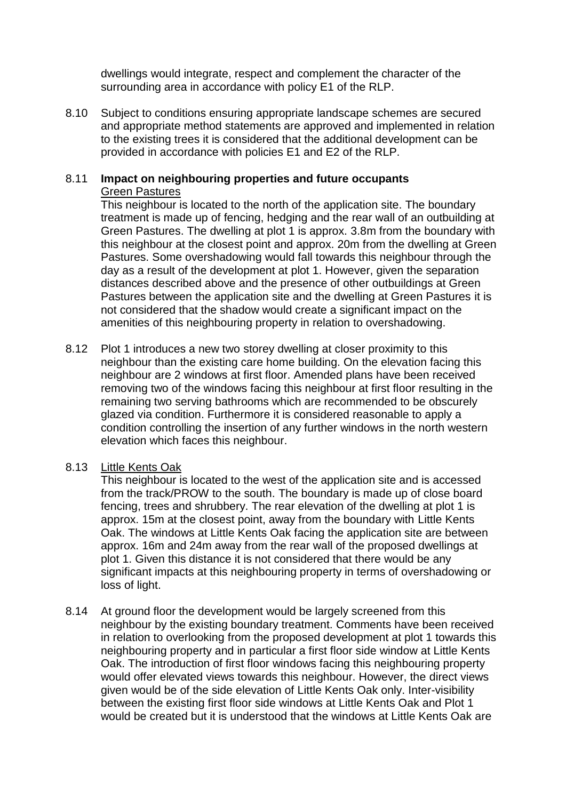dwellings would integrate, respect and complement the character of the surrounding area in accordance with policy E1 of the RLP.

8.10 Subject to conditions ensuring appropriate landscape schemes are secured and appropriate method statements are approved and implemented in relation to the existing trees it is considered that the additional development can be provided in accordance with policies E1 and E2 of the RLP.

#### 8.11 **Impact on neighbouring properties and future occupants** Green Pastures

This neighbour is located to the north of the application site. The boundary treatment is made up of fencing, hedging and the rear wall of an outbuilding at Green Pastures. The dwelling at plot 1 is approx. 3.8m from the boundary with this neighbour at the closest point and approx. 20m from the dwelling at Green Pastures. Some overshadowing would fall towards this neighbour through the day as a result of the development at plot 1. However, given the separation distances described above and the presence of other outbuildings at Green Pastures between the application site and the dwelling at Green Pastures it is not considered that the shadow would create a significant impact on the amenities of this neighbouring property in relation to overshadowing.

8.12 Plot 1 introduces a new two storey dwelling at closer proximity to this neighbour than the existing care home building. On the elevation facing this neighbour are 2 windows at first floor. Amended plans have been received removing two of the windows facing this neighbour at first floor resulting in the remaining two serving bathrooms which are recommended to be obscurely glazed via condition. Furthermore it is considered reasonable to apply a condition controlling the insertion of any further windows in the north western elevation which faces this neighbour.

## 8.13 Little Kents Oak

This neighbour is located to the west of the application site and is accessed from the track/PROW to the south. The boundary is made up of close board fencing, trees and shrubbery. The rear elevation of the dwelling at plot 1 is approx. 15m at the closest point, away from the boundary with Little Kents Oak. The windows at Little Kents Oak facing the application site are between approx. 16m and 24m away from the rear wall of the proposed dwellings at plot 1. Given this distance it is not considered that there would be any significant impacts at this neighbouring property in terms of overshadowing or loss of light.

8.14 At ground floor the development would be largely screened from this neighbour by the existing boundary treatment. Comments have been received in relation to overlooking from the proposed development at plot 1 towards this neighbouring property and in particular a first floor side window at Little Kents Oak. The introduction of first floor windows facing this neighbouring property would offer elevated views towards this neighbour. However, the direct views given would be of the side elevation of Little Kents Oak only. Inter-visibility between the existing first floor side windows at Little Kents Oak and Plot 1 would be created but it is understood that the windows at Little Kents Oak are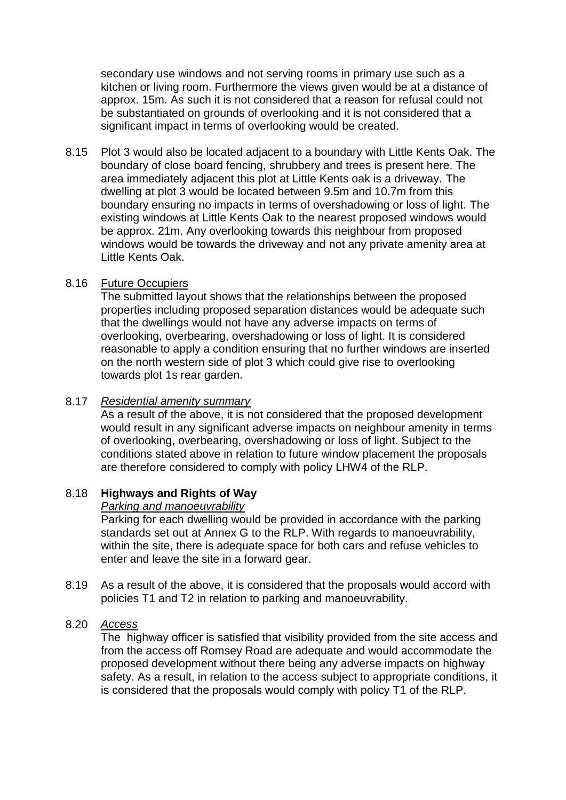secondary use windows and not serving rooms in primary use such as a kitchen or living room. Furthermore the views given would be at a distance of approx. 15m. As such it is not considered that a reason for refusal could not be substantiated on grounds of overlooking and it is not considered that a significant impact in terms of overlooking would be created.

8.15 Plot 3 would also be located adjacent to a boundary with Little Kents Oak. The boundary of close board fencing, shrubbery and trees is present here. The area immediately adjacent this plot at Little Kents oak is a driveway. The dwelling at plot 3 would be located between 9.5m and 10.7m from this boundary ensuring no impacts in terms of overshadowing or loss of light. The existing windows at Little Kents Oak to the nearest proposed windows would be approx. 21m. Any overlooking towards this neighbour from proposed windows would be towards the driveway and not any private amenity area at Little Kents Oak.

## 8.16 Future Occupiers

The submitted layout shows that the relationships between the proposed properties including proposed separation distances would be adequate such that the dwellings would not have any adverse impacts on terms of overlooking, overbearing, overshadowing or loss of light. It is considered reasonable to apply a condition ensuring that no further windows are inserted on the north western side of plot 3 which could give rise to overlooking towards plot 1s rear garden.

## 8.17 *Residential amenity summary*

As a result of the above, it is not considered that the proposed development would result in any significant adverse impacts on neighbour amenity in terms of overlooking, overbearing, overshadowing or loss of light. Subject to the conditions stated above in relation to future window placement the proposals are therefore considered to comply with policy LHW4 of the RLP.

## 8.18 **Highways and Rights of Way**

## *Parking and manoeuvrability*

Parking for each dwelling would be provided in accordance with the parking standards set out at Annex G to the RLP. With regards to manoeuvrability, within the site, there is adequate space for both cars and refuse vehicles to enter and leave the site in a forward gear.

8.19 As a result of the above, it is considered that the proposals would accord with policies T1 and T2 in relation to parking and manoeuvrability.

## 8.20 *Access*

The highway officer is satisfied that visibility provided from the site access and from the access off Romsey Road are adequate and would accommodate the proposed development without there being any adverse impacts on highway safety. As a result, in relation to the access subject to appropriate conditions, it is considered that the proposals would comply with policy T1 of the RLP.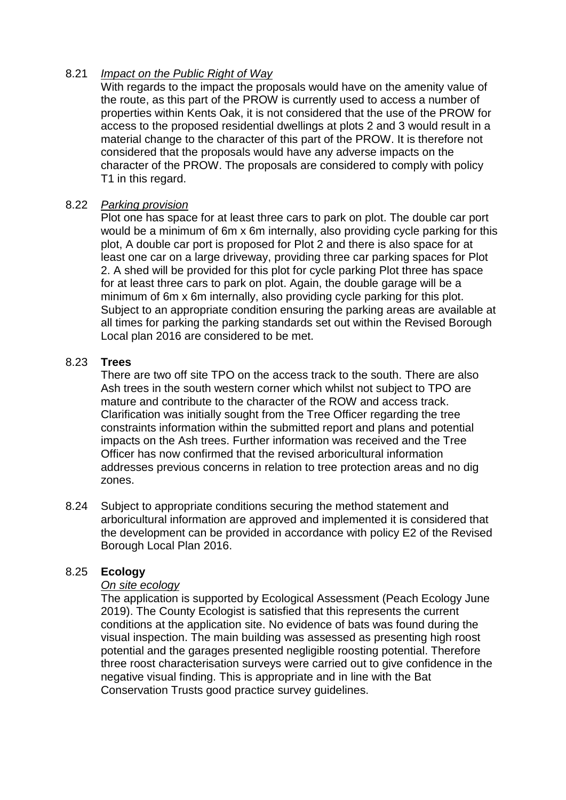## 8.21 *Impact on the Public Right of Way*

With regards to the impact the proposals would have on the amenity value of the route, as this part of the PROW is currently used to access a number of properties within Kents Oak, it is not considered that the use of the PROW for access to the proposed residential dwellings at plots 2 and 3 would result in a material change to the character of this part of the PROW. It is therefore not considered that the proposals would have any adverse impacts on the character of the PROW. The proposals are considered to comply with policy T1 in this regard.

## 8.22 *Parking provision*

Plot one has space for at least three cars to park on plot. The double car port would be a minimum of 6m x 6m internally, also providing cycle parking for this plot, A double car port is proposed for Plot 2 and there is also space for at least one car on a large driveway, providing three car parking spaces for Plot 2. A shed will be provided for this plot for cycle parking Plot three has space for at least three cars to park on plot. Again, the double garage will be a minimum of 6m x 6m internally, also providing cycle parking for this plot. Subject to an appropriate condition ensuring the parking areas are available at all times for parking the parking standards set out within the Revised Borough Local plan 2016 are considered to be met.

## 8.23 **Trees**

There are two off site TPO on the access track to the south. There are also Ash trees in the south western corner which whilst not subject to TPO are mature and contribute to the character of the ROW and access track. Clarification was initially sought from the Tree Officer regarding the tree constraints information within the submitted report and plans and potential impacts on the Ash trees. Further information was received and the Tree Officer has now confirmed that the revised arboricultural information addresses previous concerns in relation to tree protection areas and no dig zones.

8.24 Subject to appropriate conditions securing the method statement and arboricultural information are approved and implemented it is considered that the development can be provided in accordance with policy E2 of the Revised Borough Local Plan 2016.

# 8.25 **Ecology**

## *On site ecology*

The application is supported by Ecological Assessment (Peach Ecology June 2019). The County Ecologist is satisfied that this represents the current conditions at the application site. No evidence of bats was found during the visual inspection. The main building was assessed as presenting high roost potential and the garages presented negligible roosting potential. Therefore three roost characterisation surveys were carried out to give confidence in the negative visual finding. This is appropriate and in line with the Bat Conservation Trusts good practice survey guidelines.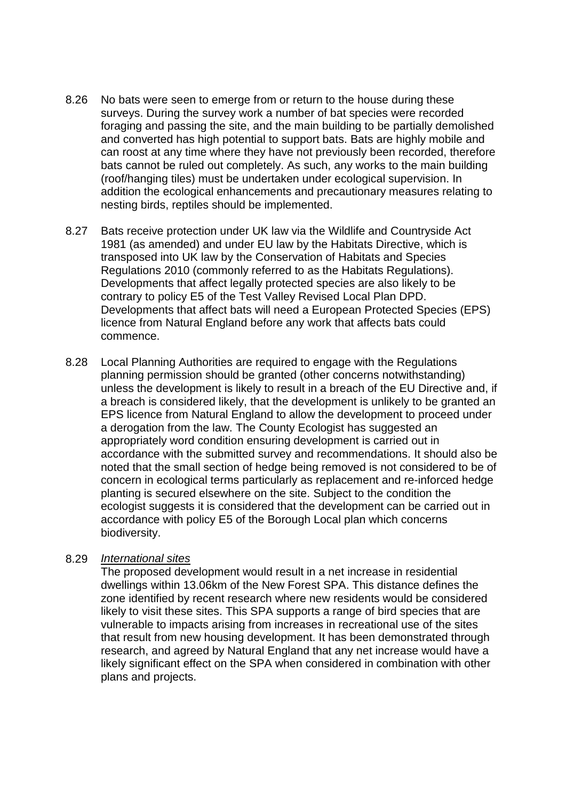- 8.26 No bats were seen to emerge from or return to the house during these surveys. During the survey work a number of bat species were recorded foraging and passing the site, and the main building to be partially demolished and converted has high potential to support bats. Bats are highly mobile and can roost at any time where they have not previously been recorded, therefore bats cannot be ruled out completely. As such, any works to the main building (roof/hanging tiles) must be undertaken under ecological supervision. In addition the ecological enhancements and precautionary measures relating to nesting birds, reptiles should be implemented.
- 8.27 Bats receive protection under UK law via the Wildlife and Countryside Act 1981 (as amended) and under EU law by the Habitats Directive, which is transposed into UK law by the Conservation of Habitats and Species Regulations 2010 (commonly referred to as the Habitats Regulations). Developments that affect legally protected species are also likely to be contrary to policy E5 of the Test Valley Revised Local Plan DPD. Developments that affect bats will need a European Protected Species (EPS) licence from Natural England before any work that affects bats could commence.
- 8.28 Local Planning Authorities are required to engage with the Regulations planning permission should be granted (other concerns notwithstanding) unless the development is likely to result in a breach of the EU Directive and, if a breach is considered likely, that the development is unlikely to be granted an EPS licence from Natural England to allow the development to proceed under a derogation from the law. The County Ecologist has suggested an appropriately word condition ensuring development is carried out in accordance with the submitted survey and recommendations. It should also be noted that the small section of hedge being removed is not considered to be of concern in ecological terms particularly as replacement and re-inforced hedge planting is secured elsewhere on the site. Subject to the condition the ecologist suggests it is considered that the development can be carried out in accordance with policy E5 of the Borough Local plan which concerns biodiversity.

#### 8.29 *International sites*

The proposed development would result in a net increase in residential dwellings within 13.06km of the New Forest SPA. This distance defines the zone identified by recent research where new residents would be considered likely to visit these sites. This SPA supports a range of bird species that are vulnerable to impacts arising from increases in recreational use of the sites that result from new housing development. It has been demonstrated through research, and agreed by Natural England that any net increase would have a likely significant effect on the SPA when considered in combination with other plans and projects.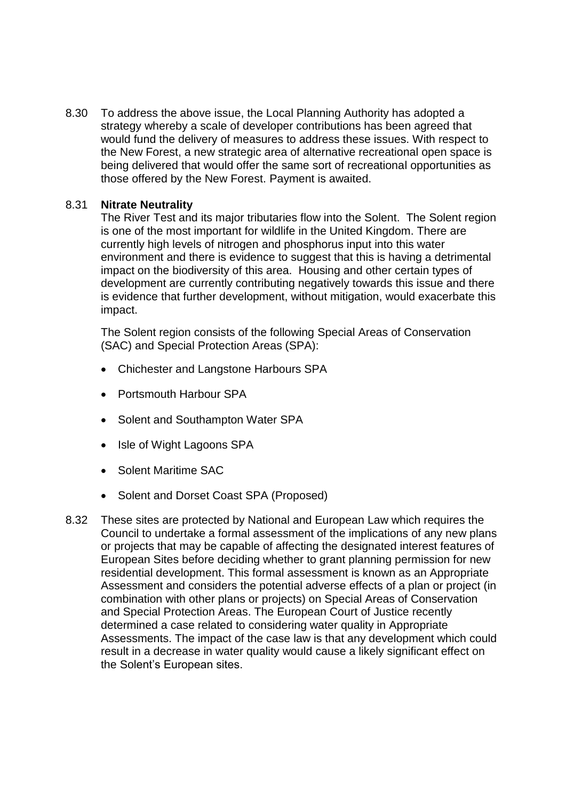8.30 To address the above issue, the Local Planning Authority has adopted a strategy whereby a scale of developer contributions has been agreed that would fund the delivery of measures to address these issues. With respect to the New Forest, a new strategic area of alternative recreational open space is being delivered that would offer the same sort of recreational opportunities as those offered by the New Forest. Payment is awaited.

## 8.31 **Nitrate Neutrality**

The River Test and its major tributaries flow into the Solent. The Solent region is one of the most important for wildlife in the United Kingdom. There are currently high levels of nitrogen and phosphorus input into this water environment and there is evidence to suggest that this is having a detrimental impact on the biodiversity of this area. Housing and other certain types of development are currently contributing negatively towards this issue and there is evidence that further development, without mitigation, would exacerbate this impact.

The Solent region consists of the following Special Areas of Conservation (SAC) and Special Protection Areas (SPA):

- Chichester and Langstone Harbours SPA
- Portsmouth Harbour SPA
- Solent and Southampton Water SPA
- Isle of Wight Lagoons SPA
- Solent Maritime SAC
- Solent and Dorset Coast SPA (Proposed)
- 8.32 These sites are protected by National and European Law which requires the Council to undertake a formal assessment of the implications of any new plans or projects that may be capable of affecting the designated interest features of European Sites before deciding whether to grant planning permission for new residential development. This formal assessment is known as an Appropriate Assessment and considers the potential adverse effects of a plan or project (in combination with other plans or projects) on Special Areas of Conservation and Special Protection Areas. The European Court of Justice recently determined a case related to considering water quality in Appropriate Assessments. The impact of the case law is that any development which could result in a decrease in water quality would cause a likely significant effect on the Solent's European sites.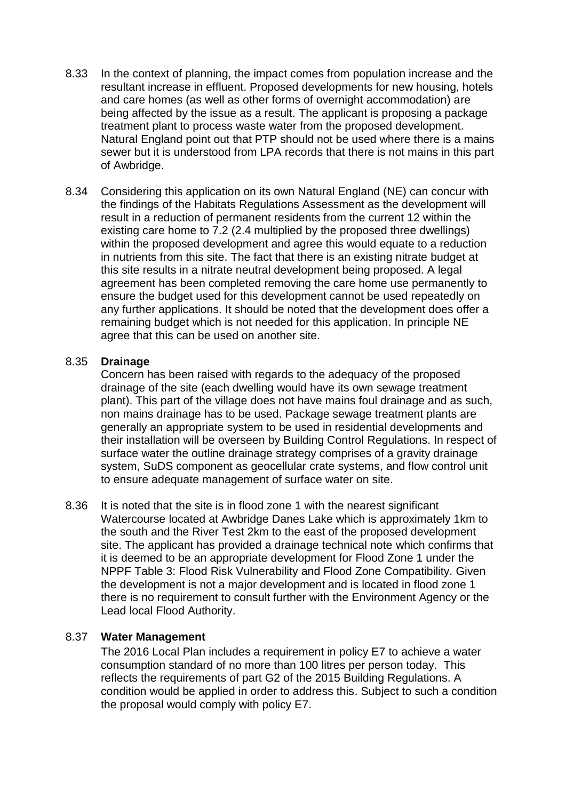- 8.33 In the context of planning, the impact comes from population increase and the resultant increase in effluent. Proposed developments for new housing, hotels and care homes (as well as other forms of overnight accommodation) are being affected by the issue as a result. The applicant is proposing a package treatment plant to process waste water from the proposed development. Natural England point out that PTP should not be used where there is a mains sewer but it is understood from LPA records that there is not mains in this part of Awbridge.
- 8.34 Considering this application on its own Natural England (NE) can concur with the findings of the Habitats Regulations Assessment as the development will result in a reduction of permanent residents from the current 12 within the existing care home to 7.2 (2.4 multiplied by the proposed three dwellings) within the proposed development and agree this would equate to a reduction in nutrients from this site. The fact that there is an existing nitrate budget at this site results in a nitrate neutral development being proposed. A legal agreement has been completed removing the care home use permanently to ensure the budget used for this development cannot be used repeatedly on any further applications. It should be noted that the development does offer a remaining budget which is not needed for this application. In principle NE agree that this can be used on another site.

#### 8.35 **Drainage**

Concern has been raised with regards to the adequacy of the proposed drainage of the site (each dwelling would have its own sewage treatment plant). This part of the village does not have mains foul drainage and as such, non mains drainage has to be used. Package sewage treatment plants are generally an appropriate system to be used in residential developments and their installation will be overseen by Building Control Regulations. In respect of surface water the outline drainage strategy comprises of a gravity drainage system, SuDS component as geocellular crate systems, and flow control unit to ensure adequate management of surface water on site.

8.36 It is noted that the site is in flood zone 1 with the nearest significant Watercourse located at Awbridge Danes Lake which is approximately 1km to the south and the River Test 2km to the east of the proposed development site. The applicant has provided a drainage technical note which confirms that it is deemed to be an appropriate development for Flood Zone 1 under the NPPF Table 3: Flood Risk Vulnerability and Flood Zone Compatibility. Given the development is not a major development and is located in flood zone 1 there is no requirement to consult further with the Environment Agency or the Lead local Flood Authority.

## 8.37 **Water Management**

The 2016 Local Plan includes a requirement in policy E7 to achieve a water consumption standard of no more than 100 litres per person today. This reflects the requirements of part G2 of the 2015 Building Regulations. A condition would be applied in order to address this. Subject to such a condition the proposal would comply with policy E7.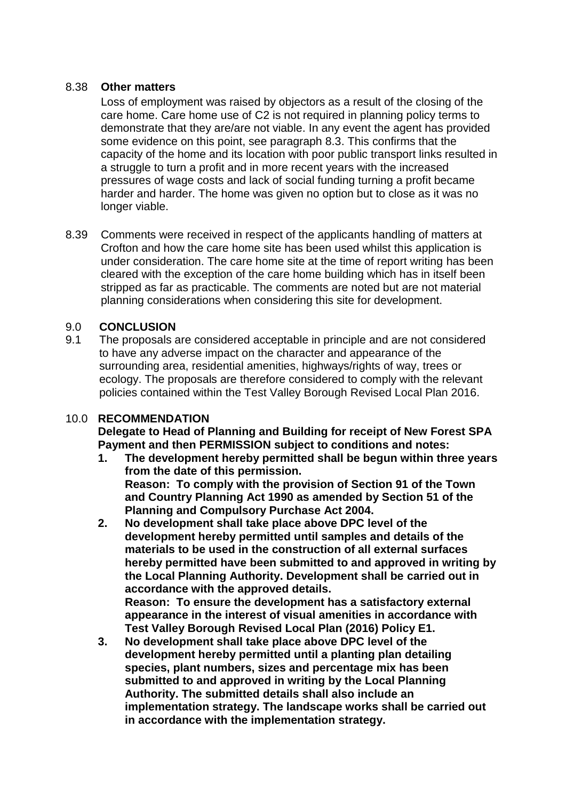## 8.38 **Other matters**

Loss of employment was raised by objectors as a result of the closing of the care home. Care home use of C2 is not required in planning policy terms to demonstrate that they are/are not viable. In any event the agent has provided some evidence on this point, see paragraph 8.3. This confirms that the capacity of the home and its location with poor public transport links resulted in a struggle to turn a profit and in more recent years with the increased pressures of wage costs and lack of social funding turning a profit became harder and harder. The home was given no option but to close as it was no longer viable.

8.39 Comments were received in respect of the applicants handling of matters at Crofton and how the care home site has been used whilst this application is under consideration. The care home site at the time of report writing has been cleared with the exception of the care home building which has in itself been stripped as far as practicable. The comments are noted but are not material planning considerations when considering this site for development.

## 9.0 **CONCLUSION**

9.1 The proposals are considered acceptable in principle and are not considered to have any adverse impact on the character and appearance of the surrounding area, residential amenities, highways/rights of way, trees or ecology. The proposals are therefore considered to comply with the relevant policies contained within the Test Valley Borough Revised Local Plan 2016.

## 10.0 **RECOMMENDATION**

**Delegate to Head of Planning and Building for receipt of New Forest SPA Payment and then PERMISSION subject to conditions and notes:**

- **1. The development hereby permitted shall be begun within three years from the date of this permission. Reason: To comply with the provision of Section 91 of the Town and Country Planning Act 1990 as amended by Section 51 of the Planning and Compulsory Purchase Act 2004.**
- **2. No development shall take place above DPC level of the development hereby permitted until samples and details of the materials to be used in the construction of all external surfaces hereby permitted have been submitted to and approved in writing by the Local Planning Authority. Development shall be carried out in accordance with the approved details. Reason: To ensure the development has a satisfactory external**

**appearance in the interest of visual amenities in accordance with Test Valley Borough Revised Local Plan (2016) Policy E1.**

**3. No development shall take place above DPC level of the development hereby permitted until a planting plan detailing species, plant numbers, sizes and percentage mix has been submitted to and approved in writing by the Local Planning Authority. The submitted details shall also include an implementation strategy. The landscape works shall be carried out in accordance with the implementation strategy.**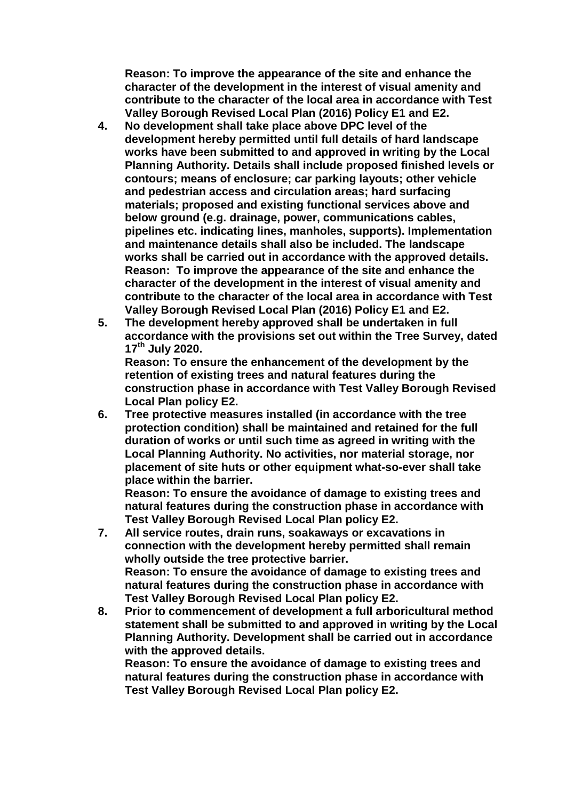**Reason: To improve the appearance of the site and enhance the character of the development in the interest of visual amenity and contribute to the character of the local area in accordance with Test Valley Borough Revised Local Plan (2016) Policy E1 and E2.**

- **4. No development shall take place above DPC level of the development hereby permitted until full details of hard landscape works have been submitted to and approved in writing by the Local Planning Authority. Details shall include proposed finished levels or contours; means of enclosure; car parking layouts; other vehicle and pedestrian access and circulation areas; hard surfacing materials; proposed and existing functional services above and below ground (e.g. drainage, power, communications cables, pipelines etc. indicating lines, manholes, supports). Implementation and maintenance details shall also be included. The landscape works shall be carried out in accordance with the approved details. Reason: To improve the appearance of the site and enhance the character of the development in the interest of visual amenity and contribute to the character of the local area in accordance with Test Valley Borough Revised Local Plan (2016) Policy E1 and E2.**
- **5. The development hereby approved shall be undertaken in full accordance with the provisions set out within the Tree Survey, dated 17th July 2020.**

**Reason: To ensure the enhancement of the development by the retention of existing trees and natural features during the construction phase in accordance with Test Valley Borough Revised Local Plan policy E2.**

**6. Tree protective measures installed (in accordance with the tree protection condition) shall be maintained and retained for the full duration of works or until such time as agreed in writing with the Local Planning Authority. No activities, nor material storage, nor placement of site huts or other equipment what-so-ever shall take place within the barrier.**

**Reason: To ensure the avoidance of damage to existing trees and natural features during the construction phase in accordance with Test Valley Borough Revised Local Plan policy E2.**

- **7. All service routes, drain runs, soakaways or excavations in connection with the development hereby permitted shall remain wholly outside the tree protective barrier. Reason: To ensure the avoidance of damage to existing trees and natural features during the construction phase in accordance with Test Valley Borough Revised Local Plan policy E2.**
- **8. Prior to commencement of development a full arboricultural method statement shall be submitted to and approved in writing by the Local Planning Authority. Development shall be carried out in accordance with the approved details.**

**Reason: To ensure the avoidance of damage to existing trees and natural features during the construction phase in accordance with Test Valley Borough Revised Local Plan policy E2.**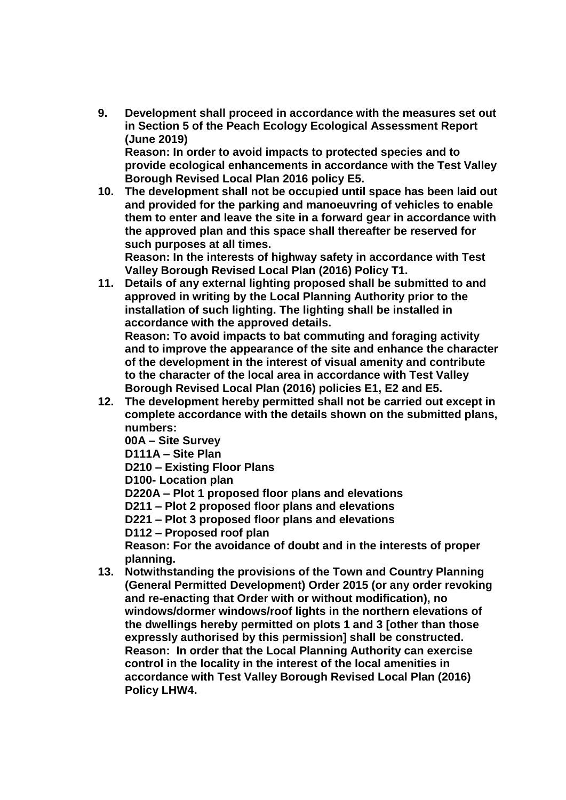**9. Development shall proceed in accordance with the measures set out in Section 5 of the Peach Ecology Ecological Assessment Report (June 2019)**

**Reason: In order to avoid impacts to protected species and to provide ecological enhancements in accordance with the Test Valley Borough Revised Local Plan 2016 policy E5.**

**10. The development shall not be occupied until space has been laid out and provided for the parking and manoeuvring of vehicles to enable them to enter and leave the site in a forward gear in accordance with the approved plan and this space shall thereafter be reserved for such purposes at all times.**

**Reason: In the interests of highway safety in accordance with Test Valley Borough Revised Local Plan (2016) Policy T1.**

**11. Details of any external lighting proposed shall be submitted to and approved in writing by the Local Planning Authority prior to the installation of such lighting. The lighting shall be installed in accordance with the approved details. Reason: To avoid impacts to bat commuting and foraging activity** 

**and to improve the appearance of the site and enhance the character of the development in the interest of visual amenity and contribute to the character of the local area in accordance with Test Valley Borough Revised Local Plan (2016) policies E1, E2 and E5.**

**12. The development hereby permitted shall not be carried out except in complete accordance with the details shown on the submitted plans, numbers:**

**00A – Site Survey**

**D111A – Site Plan**

**D210 – Existing Floor Plans**

**D100- Location plan**

**D220A – Plot 1 proposed floor plans and elevations**

**D211 – Plot 2 proposed floor plans and elevations**

**D221 – Plot 3 proposed floor plans and elevations**

**D112 – Proposed roof plan**

**Reason: For the avoidance of doubt and in the interests of proper planning.**

**13. Notwithstanding the provisions of the Town and Country Planning (General Permitted Development) Order 2015 (or any order revoking and re-enacting that Order with or without modification), no windows/dormer windows/roof lights in the northern elevations of the dwellings hereby permitted on plots 1 and 3 [other than those expressly authorised by this permission] shall be constructed. Reason: In order that the Local Planning Authority can exercise control in the locality in the interest of the local amenities in accordance with Test Valley Borough Revised Local Plan (2016) Policy LHW4.**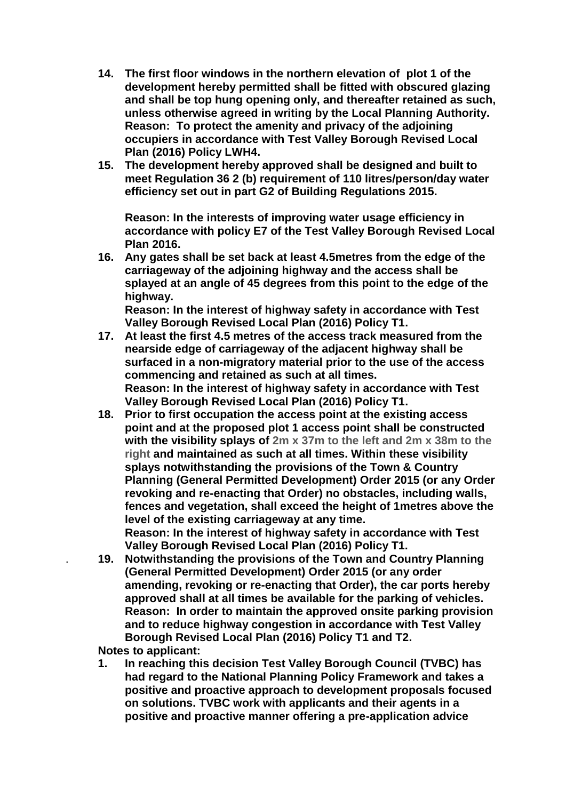- **14. The first floor windows in the northern elevation of plot 1 of the development hereby permitted shall be fitted with obscured glazing and shall be top hung opening only, and thereafter retained as such, unless otherwise agreed in writing by the Local Planning Authority. Reason: To protect the amenity and privacy of the adjoining occupiers in accordance with Test Valley Borough Revised Local Plan (2016) Policy LWH4.**
- **15. The development hereby approved shall be designed and built to meet Regulation 36 2 (b) requirement of 110 litres/person/day water efficiency set out in part G2 of Building Regulations 2015.**

**Reason: In the interests of improving water usage efficiency in accordance with policy E7 of the Test Valley Borough Revised Local Plan 2016.**

**16. Any gates shall be set back at least 4.5metres from the edge of the carriageway of the adjoining highway and the access shall be splayed at an angle of 45 degrees from this point to the edge of the highway. Reason: In the interest of highway safety in accordance with Test** 

**Valley Borough Revised Local Plan (2016) Policy T1. 17. At least the first 4.5 metres of the access track measured from the nearside edge of carriageway of the adjacent highway shall be surfaced in a non-migratory material prior to the use of the access commencing and retained as such at all times. Reason: In the interest of highway safety in accordance with Test Valley Borough Revised Local Plan (2016) Policy T1.**

**18. Prior to first occupation the access point at the existing access point and at the proposed plot 1 access point shall be constructed with the visibility splays of 2m x 37m to the left and 2m x 38m to the right and maintained as such at all times. Within these visibility splays notwithstanding the provisions of the Town & Country Planning (General Permitted Development) Order 2015 (or any Order revoking and re-enacting that Order) no obstacles, including walls, fences and vegetation, shall exceed the height of 1metres above the level of the existing carriageway at any time. Reason: In the interest of highway safety in accordance with Test** 

**Valley Borough Revised Local Plan (2016) Policy T1.**

. **19. Notwithstanding the provisions of the Town and Country Planning (General Permitted Development) Order 2015 (or any order amending, revoking or re-enacting that Order), the car ports hereby approved shall at all times be available for the parking of vehicles. Reason: In order to maintain the approved onsite parking provision and to reduce highway congestion in accordance with Test Valley Borough Revised Local Plan (2016) Policy T1 and T2.**

**Notes to applicant:**

**1. In reaching this decision Test Valley Borough Council (TVBC) has had regard to the National Planning Policy Framework and takes a positive and proactive approach to development proposals focused on solutions. TVBC work with applicants and their agents in a positive and proactive manner offering a pre-application advice**